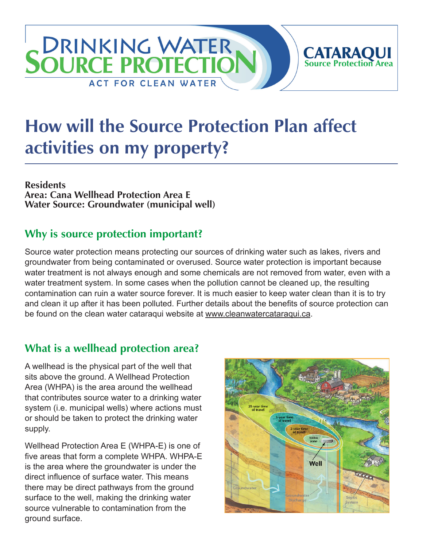## **DRINKING WATER CATARAQUI**<br>Source Protection Area **SOURCE PROTECTIC ACT FOR CLEAN WATER**

# **How will the Source Protection Plan affect activities on my property?**

**Residents Area: Cana Wellhead Protection Area E Water Source: Groundwater (municipal well)**

## **Why is source protection important?**

Source water protection means protecting our sources of drinking water such as lakes, rivers and groundwater from being contaminated or overused. Source water protection is important because water treatment is not always enough and some chemicals are not removed from water, even with a water treatment system. In some cases when the pollution cannot be cleaned up, the resulting contamination can ruin a water source forever. It is much easier to keep water clean than it is to try and clean it up after it has been polluted. Further details about the benefits of source protection can be found on the clean water cataraqui website at [www.cleanwatercataraqui.ca.](http://www.cleanwatercataraqui.ca)

## **What is a wellhead protection area?**

A wellhead is the physical part of the well that sits above the ground. A Wellhead Protection Area (WHPA) is the area around the wellhead that contributes source water to a drinking water system (i.e. municipal wells) where actions must or should be taken to protect the drinking water supply.

Wellhead Protection Area E (WHPA-E) is one of five areas that form a complete WHPA. WHPA-E is the area where the groundwater is under the direct influence of surface water. This means there may be direct pathways from the ground surface to the well, making the drinking water source vulnerable to contamination from the ground surface.

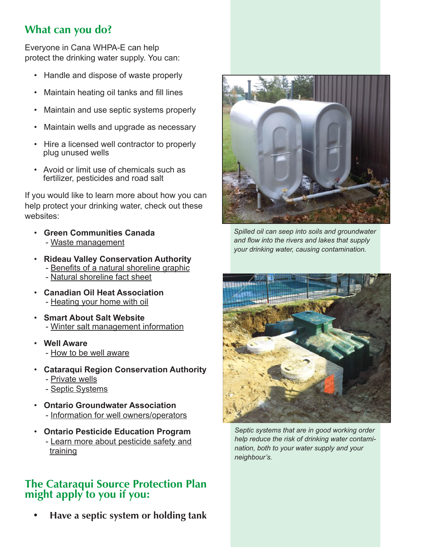## **What can you do?**

Everyone in Cana WHPA-E can help protect the drinking water supply. You can:

- Handle and dispose of waste properly
- Maintain heating oil tanks and fill lines
- Maintain and use septic systems properly
- Maintain wells and upgrade as necessary
- Hire a licensed well contractor to properly plug unused wells
- Avoid or limit use of chemicals such as fertilizer, pesticides and road salt

If you would like to learn more about how you can help protect your drinking water, check out these websites:

- **Green Communities Canada** - [Waste management](http://www.greencommunities.nonprofitwebsites.ca/what-we-work-on/waste/)
- **Rideau Valley Conservation Authority** - [Benefits of a natural shoreline graphic](http://www.crca.ca/wp-content/uploads/PDFs/ShorelineNaturalization-RVCA.pdf) - [Natural shoreline fact sheet](http://www.rvca.ca/programs/shoreline_naturalization_program/PDF/Benefits%20of%20a%20Natural%20Shoreline.pdf)
- **Canadian Oil Heat Association** - [Heating your home with oil](http://www.coha-ontario.ca/)
- **Smart About Salt Website** - [Winter salt management information](http://www.smartaboutsalt.com/)
- **Well Aware** - [How to be well aware](http://www.wellaware.ca/)
- **Cataraqui Region Conservation Authority**
	- - [Private wells](http://www.cleanwatercataraqui.ca/publications/private_wells.pdf)
	- - [Septic Systems](http://www.cleanwatercataraqui.ca/publications/septic_systems.pdf)
- **Ontario Groundwater Association** - [Information for well owners/operators](http://www.ogwa.ca/)
- **Ontario Pesticide Education Program** - [Learn more about pesticide safety and](http://www.opep.ca/)  [training](http://www.opep.ca/)

#### **The Cataraqui Source Protection Plan might apply to you if you:**

 **• Have a septic system or holding tank**



*Spilled oil can seep into soils and groundwater and flow into the rivers and lakes that supply your drinking water, causing contamination.*



*Septic systems that are in good working order help reduce the risk of drinking water contamination, both to your water supply and your neighbour's.*